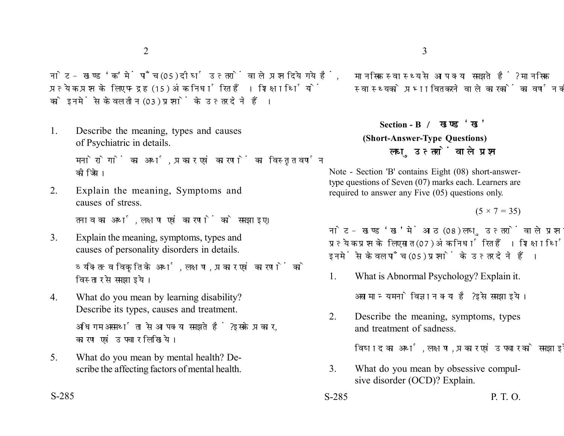नोट- खण्ड 'क' में पाँच (05) दीर्घ उत्तरों वाले प्रश्न दिये गये हैं. प्रत्येक प्रश्न के लिए पन्द्रह (15) अंक निर्धारित हैं। शिक्षार्थियों को इनमें से केवल तीन (03) प्रश्नों के उत्तर देने हैं।

1. Describe the meaning, types and causes of Psychiatric in details.

> मनोरोगों का अर्थ, प्रकार एवं कारणों का विस्तृत वर्णन कोजिये।

2. Explain the meaning, Symptoms and causes of stress.

तनाव का अर्थ, लक्षण एवं कारणों को समझाइए।

- 3. Explain the meaning, symptoms, types and causes of personality disorders in details. व्यक्तित्व विकृति के अर्थ, लक्षण, प्रकार एवं कारणों को विस्तार से समझाइये।
- 4. What do you mean by learning disability? Describe its types, causes and treatment. अधिगम असमर्थता से आप क्या समझते हैं ? इसके प्रकार, कारण एवं उपचार लिखिये।
- 5. What do you mean by mental health? Describe the affecting factors of mental health.

मानसिक स्वास्थ्य से आप क्या समझते हैं? मानसिक स्वास्थ्य को प्रभावित करने वाले कारकों का वर्णन कीजिए।

## **Section - B (Short-Answer-Type Questions)** लघ उत्तरों वाले प्रश्न

Note - Section 'B' contains Eight (08) short-answertype questions of Seven (07) marks each. Learners are required to answer any Five (05) questions only.

 $(5 \times 7 = 35)$ 

नोट- खण्ड 'ख' में आठ (08) लघु उत्तरों वाले प्रश्न दिये गये हैं, प्रत्येक प्रश्न के लिए सात (07) अंक निर्धारित हैं। शिक्षार्थियों को इनमें से केवल पाँच (05) प्रश्नों के उत्तर देने हैं।

- 1. What is Abnormal Psychology? Explain it. असामान्य मनोविज्ञान क्या है? इसे समझाइये।
- 2. Describe the meaning, symptoms, types and treatment of sadness.

विषाद का अर्थ, लक्षण, प्रकार एवं उपचार को समझाइये।

- 3. What do you mean by obsessive compulsive disorder (OCD)? Explain.
- S-285 P. T. O.